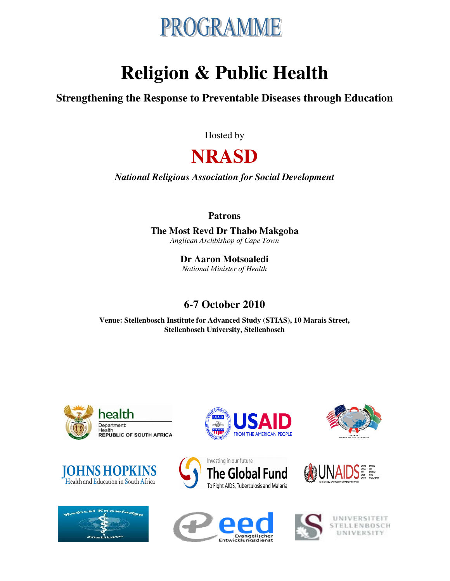

# **Religion & Public Health**

**Strengthening the Response to Preventable Diseases through Education** 

Hosted by

# **NRASD**

*National Religious Association for Social Development*

## **Patrons**

**The Most Revd Dr Thabo Makgoba**  *Anglican Archbishop of Cape Town* 

> **Dr Aaron Motsoaledi** *National Minister of Health*

# **6-7 October 2010**

**Venue: Stellenbosch Institute for Advanced Study (STIAS), 10 Marais Street, Stellenbosch University, Stellenbosch** 

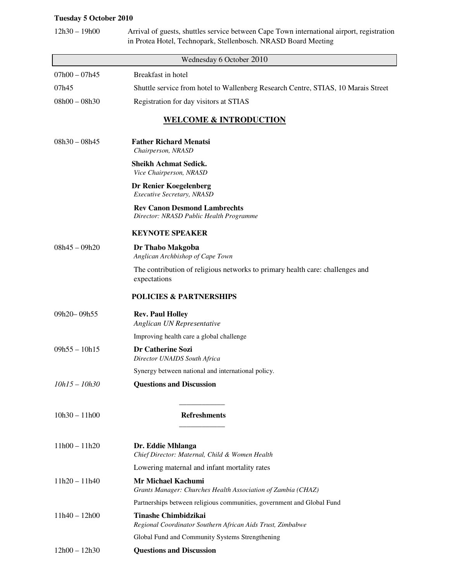### **Tuesday 5 October 2010**

| $12h30 - 19h00$ | Arrival of guests, shuttles service between Cape Town international airport, registration<br>in Protea Hotel, Technopark, Stellenbosch. NRASD Board Meeting |
|-----------------|-------------------------------------------------------------------------------------------------------------------------------------------------------------|
|                 | Wednesday 6 October 2010                                                                                                                                    |
| $07h00 - 07h45$ | Breakfast in hotel                                                                                                                                          |
| 07h45           | Shuttle service from hotel to Wallenberg Research Centre, STIAS, 10 Marais Street                                                                           |
| $08h00 - 08h30$ | Registration for day visitors at STIAS                                                                                                                      |
|                 | <b>WELCOME &amp; INTRODUCTION</b>                                                                                                                           |
| $08h30 - 08h45$ | <b>Father Richard Menatsi</b><br>Chairperson, NRASD                                                                                                         |
|                 | <b>Sheikh Achmat Sedick.</b><br>Vice Chairperson, NRASD                                                                                                     |
|                 | Dr Renier Koegelenberg<br>Executive Secretary, NRASD                                                                                                        |
|                 | <b>Rev Canon Desmond Lambrechts</b><br>Director: NRASD Public Health Programme                                                                              |
|                 | <b>KEYNOTE SPEAKER</b>                                                                                                                                      |
| $08h45 - 09h20$ | Dr Thabo Makgoba<br>Anglican Archbishop of Cape Town                                                                                                        |
|                 | The contribution of religious networks to primary health care: challenges and<br>expectations                                                               |
|                 | <b>POLICIES &amp; PARTNERSHIPS</b>                                                                                                                          |
| 09h20-09h55     | <b>Rev. Paul Holley</b><br>Anglican UN Representative                                                                                                       |
|                 | Improving health care a global challenge                                                                                                                    |
| $09h55 - 10h15$ | Dr Catherine Sozi<br>Director UNAIDS South Africa                                                                                                           |
|                 | Synergy between national and international policy.                                                                                                          |
| $10h15 - 10h30$ | <b>Questions and Discussion</b>                                                                                                                             |
| $10h30 - 11h00$ | <b>Refreshments</b>                                                                                                                                         |
| $11h00 - 11h20$ | Dr. Eddie Mhlanga<br>Chief Director: Maternal, Child & Women Health                                                                                         |
|                 | Lowering maternal and infant mortality rates                                                                                                                |
| $11h20 - 11h40$ | Mr Michael Kachumi<br>Grants Manager: Churches Health Association of Zambia (CHAZ)                                                                          |
|                 | Partnerships between religious communities, government and Global Fund                                                                                      |
| $11h40 - 12h00$ | <b>Tinashe Chimbidzikai</b><br>Regional Coordinator Southern African Aids Trust, Zimbabwe                                                                   |
|                 | Global Fund and Community Systems Strengthening                                                                                                             |
| $12h00 - 12h30$ | <b>Questions and Discussion</b>                                                                                                                             |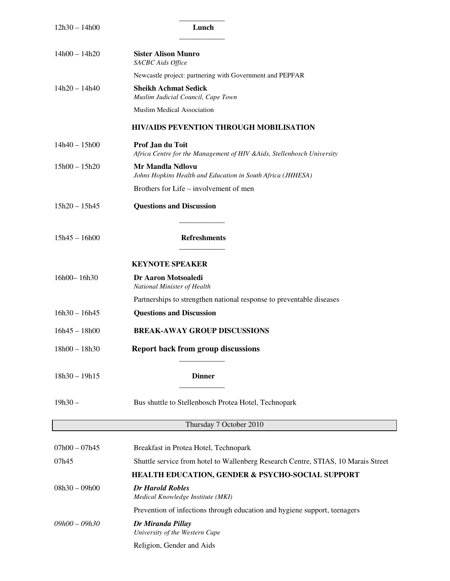| $12h30 - 14h00$ | Lunch                                                                                      |
|-----------------|--------------------------------------------------------------------------------------------|
| $14h00 - 14h20$ | <b>Sister Alison Munro</b><br>SACBC Aids Office                                            |
|                 | Newcastle project: partnering with Government and PEPFAR                                   |
| $14h20 - 14h40$ | <b>Sheikh Achmat Sedick</b><br>Muslim Judicial Council, Cape Town                          |
|                 | <b>Muslim Medical Association</b>                                                          |
|                 | <b>HIV/AIDS PEVENTION THROUGH MOBILISATION</b>                                             |
| $14h40 - 15h00$ | Prof Jan du Toit<br>Africa Centre for the Management of HIV &Aids, Stellenbosch University |
| $15h00 - 15h20$ | <b>Mr Mandla Ndlovu</b><br>Johns Hopkins Health and Education in South Africa (JHHESA)     |
|                 | Brothers for Life – involvement of men                                                     |
| $15h20 - 15h45$ | <b>Questions and Discussion</b>                                                            |
| $15h45 - 16h00$ | <b>Refreshments</b>                                                                        |
|                 | <b>KEYNOTE SPEAKER</b>                                                                     |
| 16h00-16h30     | Dr Aaron Motsoaledi<br>National Minister of Health                                         |
|                 | Partnerships to strengthen national response to preventable diseases                       |
| $16h30 - 16h45$ | <b>Questions and Discussion</b>                                                            |
| $16h45 - 18h00$ | <b>BREAK-AWAY GROUP DISCUSSIONS</b>                                                        |
| $18h00 - 18h30$ | <b>Report back from group discussions</b>                                                  |
| $18h30 - 19h15$ | <b>Dinner</b>                                                                              |
| $19h30 -$       | Bus shuttle to Stellenbosch Protea Hotel, Technopark                                       |
|                 | Thursday 7 October 2010                                                                    |
| $07h00 - 07h45$ | Breakfast in Protea Hotel, Technopark                                                      |
| 07h45           | Shuttle service from hotel to Wallenberg Research Centre, STIAS, 10 Marais Street          |
|                 | <b>HEALTH EDUCATION, GENDER &amp; PSYCHO-SOCIAL SUPPORT</b>                                |
| $08h30 - 09h00$ | <b>Dr Harold Robles</b><br>Medical Knowledge Institute (MKI)                               |
|                 | Prevention of infections through education and hygiene support, teenagers                  |
| $09h00 - 09h30$ | Dr Miranda Pillay<br>University of the Western Cape                                        |
|                 | Religion, Gender and Aids                                                                  |
|                 |                                                                                            |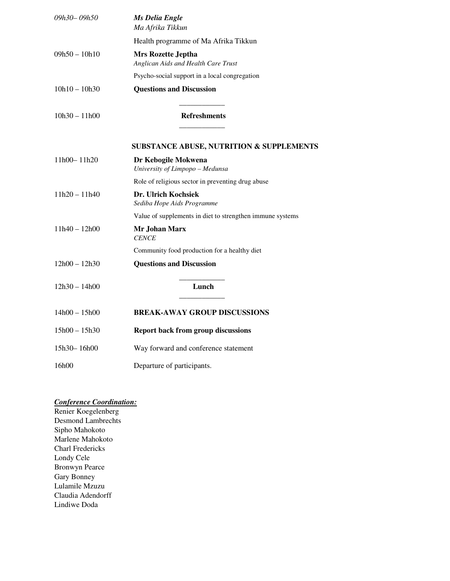| 09h30– 09h50    | <b>Ms Delia Engle</b><br>Ma Afrika Tikkun                        |
|-----------------|------------------------------------------------------------------|
|                 | Health programme of Ma Afrika Tikkun                             |
| $09h50 - 10h10$ | <b>Mrs Rozette Jeptha</b><br>Anglican Aids and Health Care Trust |
|                 | Psycho-social support in a local congregation                    |
| $10h10 - 10h30$ | <b>Questions and Discussion</b>                                  |
| $10h30 - 11h00$ | <b>Refreshments</b>                                              |
|                 | <b>SUBSTANCE ABUSE, NUTRITION &amp; SUPPLEMENTS</b>              |
| 11h00-11h20     | Dr Kebogile Mokwena<br>University of Limpopo - Medunsa           |
|                 | Role of religious sector in preventing drug abuse                |
| $11h20 - 11h40$ | Dr. Ulrich Kochsiek<br>Sediba Hope Aids Programme                |
|                 | Value of supplements in diet to strengthen immune systems        |
| $11h40 - 12h00$ | Mr Johan Marx<br><b>CENCE</b>                                    |
|                 | Community food production for a healthy diet                     |
| $12h00 - 12h30$ | <b>Questions and Discussion</b>                                  |
| $12h30 - 14h00$ | Lunch                                                            |
| $14h00 - 15h00$ | <b>BREAK-AWAY GROUP DISCUSSIONS</b>                              |
| $15h00 - 15h30$ | <b>Report back from group discussions</b>                        |
| $15h30 - 16h00$ | Way forward and conference statement                             |
| 16h00           | Departure of participants.                                       |

#### *Conference Coordination:*

Renier Koegelenberg Desmond Lambrechts Sipho Mahokoto Marlene Mahokoto Charl Fredericks Londy Cele Bronwyn Pearce Gary Bonney Lulamile Mzuzu Claudia Adendorff Lindiwe Doda